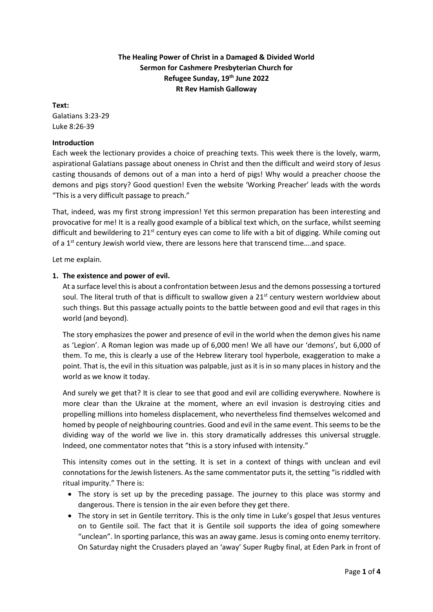# **The Healing Power of Christ in a Damaged & Divided World Sermon for Cashmere Presbyterian Church for Refugee Sunday, 19th June 2022 Rt Rev Hamish Galloway**

## **Text:**

Galatians 3:23-29 Luke 8:26-39

## **Introduction**

Each week the lectionary provides a choice of preaching texts. This week there is the lovely, warm, aspirational Galatians passage about oneness in Christ and then the difficult and weird story of Jesus casting thousands of demons out of a man into a herd of pigs! Why would a preacher choose the demons and pigs story? Good question! Even the website 'Working Preacher' leads with the words "This is a very difficult passage to preach."

That, indeed, was my first strong impression! Yet this sermon preparation has been interesting and provocative for me! It is a really good example of a biblical text which, on the surface, whilst seeming difficult and bewildering to  $21<sup>st</sup>$  century eyes can come to life with a bit of digging. While coming out of a  $1<sup>st</sup>$  century Jewish world view, there are lessons here that transcend time....and space.

Let me explain.

# **1. The existence and power of evil.**

At a surface level this is about a confrontation between Jesus and the demons possessing a tortured soul. The literal truth of that is difficult to swallow given a  $21<sup>st</sup>$  century western worldview about such things. But this passage actually points to the battle between good and evil that rages in this world (and beyond).

The story emphasizes the power and presence of evil in the world when the demon gives his name as 'Legion'. A Roman legion was made up of 6,000 men! We all have our 'demons', but 6,000 of them. To me, this is clearly a use of the Hebrew literary tool hyperbole, exaggeration to make a point. That is, the evil in this situation was palpable, just as it is in so many places in history and the world as we know it today.

And surely we get that? It is clear to see that good and evil are colliding everywhere. Nowhere is more clear than the Ukraine at the moment, where an evil invasion is destroying cities and propelling millions into homeless displacement, who nevertheless find themselves welcomed and homed by people of neighbouring countries. Good and evil in the same event. This seems to be the dividing way of the world we live in. this story dramatically addresses this universal struggle. Indeed, one commentator notes that "this is a story infused with intensity."

This intensity comes out in the setting. It is set in a context of things with unclean and evil connotations for the Jewish listeners. As the same commentator puts it, the setting "is riddled with ritual impurity." There is:

- The story is set up by the preceding passage. The journey to this place was stormy and dangerous. There is tension in the air even before they get there.
- The story in set in Gentile territory. This is the only time in Luke's gospel that Jesus ventures on to Gentile soil. The fact that it is Gentile soil supports the idea of going somewhere "unclean". In sporting parlance, this was an away game. Jesus is coming onto enemy territory. On Saturday night the Crusaders played an 'away' Super Rugby final, at Eden Park in front of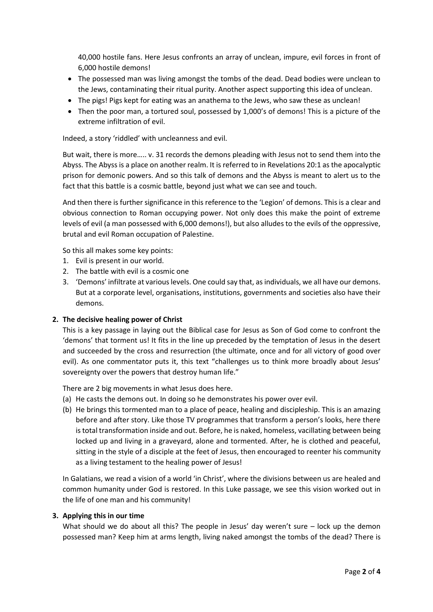40,000 hostile fans. Here Jesus confronts an array of unclean, impure, evil forces in front of 6,000 hostile demons!

- The possessed man was living amongst the tombs of the dead. Dead bodies were unclean to the Jews, contaminating their ritual purity. Another aspect supporting this idea of unclean.
- The pigs! Pigs kept for eating was an anathema to the Jews, who saw these as unclean!
- Then the poor man, a tortured soul, possessed by 1,000's of demons! This is a picture of the extreme infiltration of evil.

Indeed, a story 'riddled' with uncleanness and evil.

But wait, there is more….. v. 31 records the demons pleading with Jesus not to send them into the Abyss. The Abyss is a place on another realm. It is referred to in Revelations 20:1 as the apocalyptic prison for demonic powers. And so this talk of demons and the Abyss is meant to alert us to the fact that this battle is a cosmic battle, beyond just what we can see and touch.

And then there is further significance in this reference to the 'Legion' of demons. This is a clear and obvious connection to Roman occupying power. Not only does this make the point of extreme levels of evil (a man possessed with 6,000 demons!), but also alludes to the evils of the oppressive, brutal and evil Roman occupation of Palestine.

So this all makes some key points:

- 1. Evil is present in our world.
- 2. The battle with evil is a cosmic one
- 3. 'Demons' infiltrate at various levels. One could say that, as individuals, we all have our demons. But at a corporate level, organisations, institutions, governments and societies also have their demons.

#### **2. The decisive healing power of Christ**

This is a key passage in laying out the Biblical case for Jesus as Son of God come to confront the 'demons' that torment us! It fits in the line up preceded by the temptation of Jesus in the desert and succeeded by the cross and resurrection (the ultimate, once and for all victory of good over evil). As one commentator puts it, this text "challenges us to think more broadly about Jesus' sovereignty over the powers that destroy human life."

There are 2 big movements in what Jesus does here.

- (a) He casts the demons out. In doing so he demonstrates his power over evil.
- (b) He brings this tormented man to a place of peace, healing and discipleship. This is an amazing before and after story. Like those TV programmes that transform a person's looks, here there is total transformation inside and out. Before, he is naked, homeless, vacillating between being locked up and living in a graveyard, alone and tormented. After, he is clothed and peaceful, sitting in the style of a disciple at the feet of Jesus, then encouraged to reenter his community as a living testament to the healing power of Jesus!

In Galatians, we read a vision of a world 'in Christ', where the divisions between us are healed and common humanity under God is restored. In this Luke passage, we see this vision worked out in the life of one man and his community!

### **3. Applying this in our time**

What should we do about all this? The people in Jesus' day weren't sure – lock up the demon possessed man? Keep him at arms length, living naked amongst the tombs of the dead? There is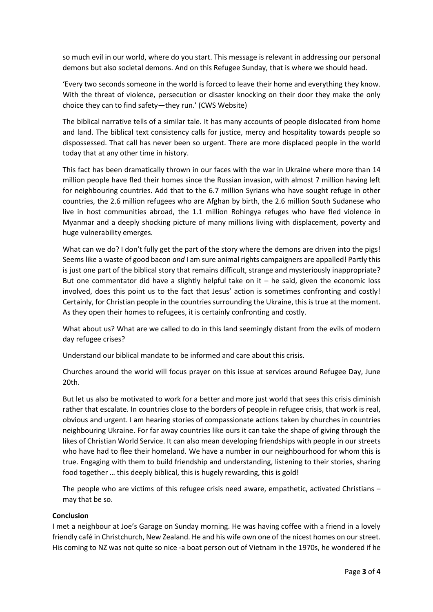so much evil in our world, where do you start. This message is relevant in addressing our personal demons but also societal demons. And on this Refugee Sunday, that is where we should head.

'Every two seconds someone in the world is forced to leave their home and everything they know. With the threat of violence, persecution or disaster knocking on their door they make the only choice they can to find safety—they run.' (CWS Website)

The biblical narrative tells of a similar tale. It has many accounts of people dislocated from home and land. The biblical text consistency calls for justice, mercy and hospitality towards people so dispossessed. That call has never been so urgent. There are more displaced people in the world today that at any other time in history.

This fact has been dramatically thrown in our faces with the war in Ukraine where more than 14 million people have fled their homes since the Russian invasion, with almost 7 million having left for neighbouring countries. Add that to the 6.7 million Syrians who have sought refuge in other countries, the 2.6 million refugees who are Afghan by birth, the 2.6 million South Sudanese who live in host communities abroad, the 1.1 million Rohingya refuges who have fled violence in Myanmar and a deeply shocking picture of many millions living with displacement, poverty and huge vulnerability emerges.

What can we do? I don't fully get the part of the story where the demons are driven into the pigs! Seems like a waste of good bacon *and* I am sure animal rights campaigners are appalled! Partly this is just one part of the biblical story that remains difficult, strange and mysteriously inappropriate? But one commentator did have a slightly helpful take on it  $-$  he said, given the economic loss involved, does this point us to the fact that Jesus' action is sometimes confronting and costly! Certainly, for Christian people in the countries surrounding the Ukraine, this is true at the moment. As they open their homes to refugees, it is certainly confronting and costly.

What about us? What are we called to do in this land seemingly distant from the evils of modern day refugee crises?

Understand our biblical mandate to be informed and care about this crisis.

Churches around the world will focus prayer on this issue at services around Refugee Day, June 20th.

But let us also be motivated to work for a better and more just world that sees this crisis diminish rather that escalate. In countries close to the borders of people in refugee crisis, that work is real, obvious and urgent. I am hearing stories of compassionate actions taken by churches in countries neighbouring Ukraine. For far away countries like ours it can take the shape of giving through the likes of Christian World Service. It can also mean developing friendships with people in our streets who have had to flee their homeland. We have a number in our neighbourhood for whom this is true. Engaging with them to build friendship and understanding, listening to their stories, sharing food together … this deeply biblical, this is hugely rewarding, this is gold!

The people who are victims of this refugee crisis need aware, empathetic, activated Christians – may that be so.

### **Conclusion**

I met a neighbour at Joe's Garage on Sunday morning. He was having coffee with a friend in a lovely friendly café in Christchurch, New Zealand. He and his wife own one of the nicest homes on our street. His coming to NZ was not quite so nice -a boat person out of Vietnam in the 1970s, he wondered if he